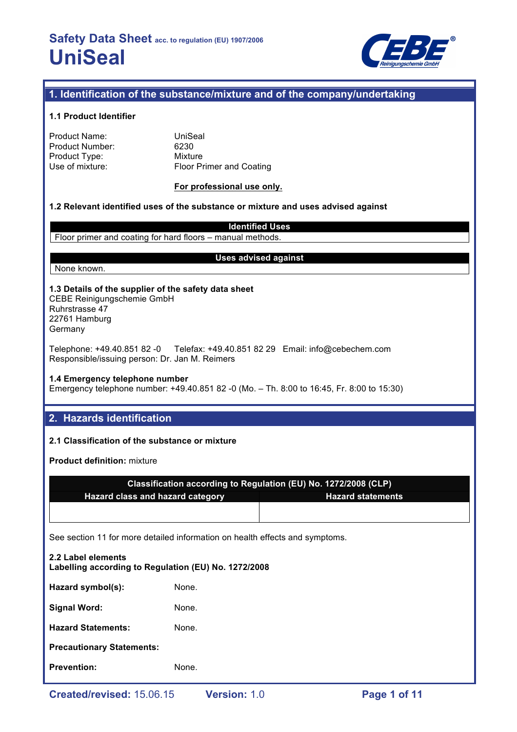

# **1. Identification of the substance/mixture and of the company/undertaking**

#### **1.1 Product Identifier**

| Product Name:   |
|-----------------|
| Product Number: |
| Product Type:   |
| Use of mixture: |

**UniSeal** 6230 **Mixture** Floor Primer and Coating

#### **For professional use only.**

#### **1.2 Relevant identified uses of the substance or mixture and uses advised against**

**Identified Uses** Floor primer and coating for hard floors – manual methods.

None known.

#### **Uses advised against**

#### **1.3 Details of the supplier of the safety data sheet** CEBE Reinigungschemie GmbH Ruhrstrasse 47

22761 Hamburg Germany

Telephone: +49.40.851 82 -0 Telefax: +49.40.851 82 29 Email: info@cebechem.com Responsible/issuing person: Dr. Jan M. Reimers

## **1.4 Emergency telephone number**

Emergency telephone number: +49.40.851 82 -0 (Mo. – Th. 8:00 to 16:45, Fr. 8:00 to 15:30)

# **2. Hazards identification**

# **2.1 Classification of the substance or mixture**

**Product definition:** mixture

|                                  | Classification according to Regulation (EU) No. 1272/2008 (CLP) |
|----------------------------------|-----------------------------------------------------------------|
| Hazard class and hazard category | <b>Hazard statements</b>                                        |
|                                  |                                                                 |

See section 11 for more detailed information on health effects and symptoms.

| <b>Prevention:</b>                                                         | None. |  |  |  |
|----------------------------------------------------------------------------|-------|--|--|--|
| <b>Precautionary Statements:</b>                                           |       |  |  |  |
| <b>Hazard Statements:</b>                                                  | None. |  |  |  |
| <b>Signal Word:</b>                                                        | None. |  |  |  |
| Hazard symbol(s):                                                          | None. |  |  |  |
| 2.2 Label elements<br>Labelling according to Regulation (EU) No. 1272/2008 |       |  |  |  |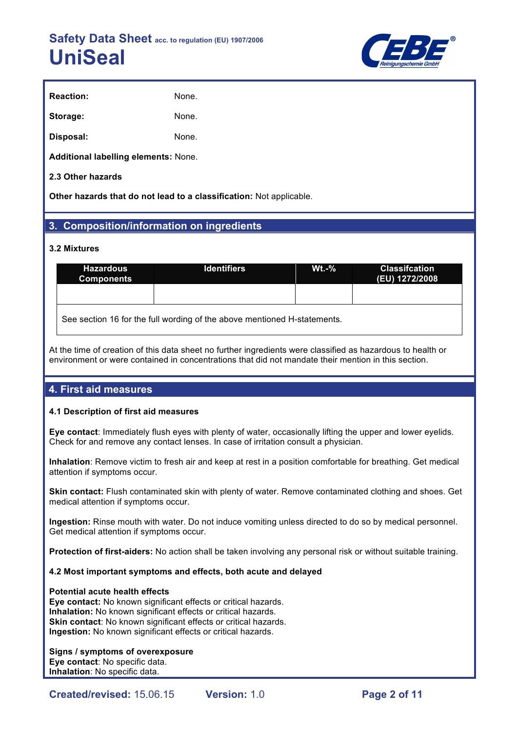

| <b>Reaction:</b> | None. |
|------------------|-------|
| Storage:         | None. |
| Disposal:        | None. |

**Additional labelling elements:** None.

# **2.3 Other hazards**

**Other hazards that do not lead to a classification:** Not applicable.

# **3. Composition/information on ingredients**

#### **3.2 Mixtures**

| <b>Hazardous</b><br><b>Components</b>                                    | <b>Identifiers</b> | $Wt - %$ | <b>Classifcation</b><br>(EU) 1272/2008 |  |  |
|--------------------------------------------------------------------------|--------------------|----------|----------------------------------------|--|--|
|                                                                          |                    |          |                                        |  |  |
| See section 16 for the full wording of the above mentioned H-statements. |                    |          |                                        |  |  |

At the time of creation of this data sheet no further ingredients were classified as hazardous to health or environment or were contained in concentrations that did not mandate their mention in this section.

# **4. First aid measures**

## **4.1 Description of first aid measures**

**Eye contact**: Immediately flush eyes with plenty of water, occasionally lifting the upper and lower eyelids. Check for and remove any contact lenses. In case of irritation consult a physician.

**Inhalation**: Remove victim to fresh air and keep at rest in a position comfortable for breathing. Get medical attention if symptoms occur.

**Skin contact:** Flush contaminated skin with plenty of water. Remove contaminated clothing and shoes. Get medical attention if symptoms occur.

**Ingestion:** Rinse mouth with water. Do not induce vomiting unless directed to do so by medical personnel. Get medical attention if symptoms occur.

**Protection of first-aiders:** No action shall be taken involving any personal risk or without suitable training.

## **4.2 Most important symptoms and effects, both acute and delayed**

#### **Potential acute health effects**

**Eye contact:** No known significant effects or critical hazards. **Inhalation:** No known significant effects or critical hazards. **Skin contact:** No known significant effects or critical hazards. **Ingestion:** No known significant effects or critical hazards.

#### **Signs / symptoms of overexposure**

**Eye contact**: No specific data. **Inhalation**: No specific data.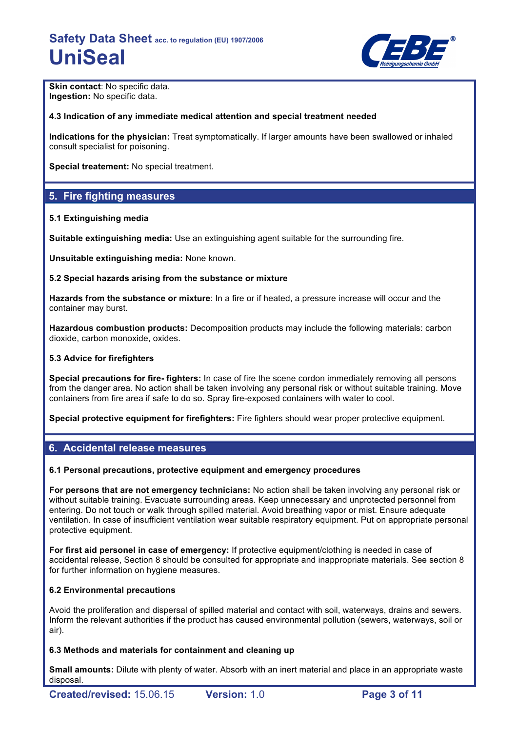

**Skin contact: No specific data. Ingestion:** No specific data.

## **4.3 Indication of any immediate medical attention and special treatment needed**

**Indications for the physician:** Treat symptomatically. If larger amounts have been swallowed or inhaled consult specialist for poisoning.

**Special treatement:** No special treatment.

# **5. Fire fighting measures**

#### **5.1 Extinguishing media**

**Suitable extinguishing media:** Use an extinguishing agent suitable for the surrounding fire.

**Unsuitable extinguishing media:** None known.

#### **5.2 Special hazards arising from the substance or mixture**

**Hazards from the substance or mixture**: In a fire or if heated, a pressure increase will occur and the container may burst.

**Hazardous combustion products:** Decomposition products may include the following materials: carbon dioxide, carbon monoxide, oxides.

#### **5.3 Advice for firefighters**

**Special precautions for fire- fighters:** In case of fire the scene cordon immediately removing all persons from the danger area. No action shall be taken involving any personal risk or without suitable training. Move containers from fire area if safe to do so. Spray fire-exposed containers with water to cool.

**Special protective equipment for firefighters:** Fire fighters should wear proper protective equipment.

# **6. Accidental release measures**

#### **6.1 Personal precautions, protective equipment and emergency procedures**

**For persons that are not emergency technicians:** No action shall be taken involving any personal risk or without suitable training. Evacuate surrounding areas. Keep unnecessary and unprotected personnel from entering. Do not touch or walk through spilled material. Avoid breathing vapor or mist. Ensure adequate ventilation. In case of insufficient ventilation wear suitable respiratory equipment. Put on appropriate personal protective equipment.

**For first aid personel in case of emergency:** If protective equipment/clothing is needed in case of accidental release, Section 8 should be consulted for appropriate and inappropriate materials. See section 8 for further information on hygiene measures.

## **6.2 Environmental precautions**

Avoid the proliferation and dispersal of spilled material and contact with soil, waterways, drains and sewers. Inform the relevant authorities if the product has caused environmental pollution (sewers, waterways, soil or air).

## **6.3 Methods and materials for containment and cleaning up**

**Small amounts:** Dilute with plenty of water. Absorb with an inert material and place in an appropriate waste disposal.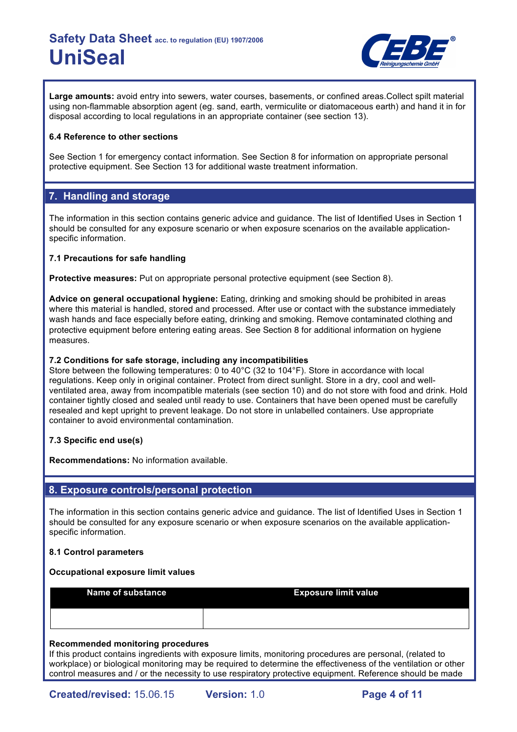

**Large amounts:** avoid entry into sewers, water courses, basements, or confined areas.Collect spilt material using non-flammable absorption agent (eg. sand, earth, vermiculite or diatomaceous earth) and hand it in for disposal according to local regulations in an appropriate container (see section 13).

## **6.4 Reference to other sections**

See Section 1 for emergency contact information. See Section 8 for information on appropriate personal protective equipment. See Section 13 for additional waste treatment information.

# **7. Handling and storage**

The information in this section contains generic advice and guidance. The list of Identified Uses in Section 1 should be consulted for any exposure scenario or when exposure scenarios on the available applicationspecific information.

#### **7.1 Precautions for safe handling**

**Protective measures:** Put on appropriate personal protective equipment (see Section 8).

**Advice on general occupational hygiene:** Eating, drinking and smoking should be prohibited in areas where this material is handled, stored and processed. After use or contact with the substance immediately wash hands and face especially before eating, drinking and smoking. Remove contaminated clothing and protective equipment before entering eating areas. See Section 8 for additional information on hygiene measures.

#### **7.2 Conditions for safe storage, including any incompatibilities**

Store between the following temperatures: 0 to 40°C (32 to 104°F). Store in accordance with local regulations. Keep only in original container. Protect from direct sunlight. Store in a dry, cool and wellventilated area, away from incompatible materials (see section 10) and do not store with food and drink. Hold container tightly closed and sealed until ready to use. Containers that have been opened must be carefully resealed and kept upright to prevent leakage. Do not store in unlabelled containers. Use appropriate container to avoid environmental contamination.

## **7.3 Specific end use(s)**

**Recommendations:** No information available.

# **8. Exposure controls/personal protection**

The information in this section contains generic advice and guidance. The list of Identified Uses in Section 1 should be consulted for any exposure scenario or when exposure scenarios on the available applicationspecific information.

#### **8.1 Control parameters**

#### **Occupational exposure limit values**

**Name of substance <b>Exposure limit value** 

#### **Recommended monitoring procedures**

If this product contains ingredients with exposure limits, monitoring procedures are personal, (related to workplace) or biological monitoring may be required to determine the effectiveness of the ventilation or other control measures and / or the necessity to use respiratory protective equipment. Reference should be made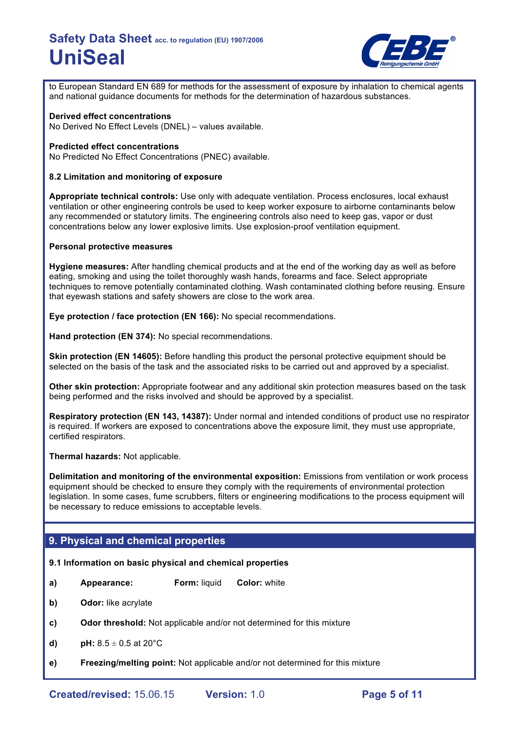

to European Standard EN 689 for methods for the assessment of exposure by inhalation to chemical agents and national guidance documents for methods for the determination of hazardous substances.

#### **Derived effect concentrations**

No Derived No Effect Levels (DNEL) – values available.

#### **Predicted effect concentrations**

No Predicted No Effect Concentrations (PNEC) available.

#### **8.2 Limitation and monitoring of exposure**

**Appropriate technical controls:** Use only with adequate ventilation. Process enclosures, local exhaust ventilation or other engineering controls be used to keep worker exposure to airborne contaminants below any recommended or statutory limits. The engineering controls also need to keep gas, vapor or dust concentrations below any lower explosive limits. Use explosion-proof ventilation equipment.

#### **Personal protective measures**

**Hygiene measures:** After handling chemical products and at the end of the working day as well as before eating, smoking and using the toilet thoroughly wash hands, forearms and face. Select appropriate techniques to remove potentially contaminated clothing. Wash contaminated clothing before reusing. Ensure that eyewash stations and safety showers are close to the work area.

**Eye protection / face protection (EN 166):** No special recommendations.

**Hand protection (EN 374):** No special recommendations.

**Skin protection (EN 14605):** Before handling this product the personal protective equipment should be selected on the basis of the task and the associated risks to be carried out and approved by a specialist.

**Other skin protection:** Appropriate footwear and any additional skin protection measures based on the task being performed and the risks involved and should be approved by a specialist.

**Respiratory protection (EN 143, 14387):** Under normal and intended conditions of product use no respirator is required. If workers are exposed to concentrations above the exposure limit, they must use appropriate, certified respirators.

**Thermal hazards:** Not applicable.

**Delimitation and monitoring of the environmental exposition:** Emissions from ventilation or work process equipment should be checked to ensure they comply with the requirements of environmental protection legislation. In some cases, fume scrubbers, filters or engineering modifications to the process equipment will be necessary to reduce emissions to acceptable levels.

# **9. Physical and chemical properties**

## **9.1 Information on basic physical and chemical properties**

- **a) Appearance: Form:** liquid **Color:** white
- **b) Odor:** like acrylate
- **c) Odor threshold:** Not applicable and/or not determined for this mixture
- **d) pH:**  $8.5 \pm 0.5$  at 20 $^{\circ}$ C
- **e) Freezing/melting point:** Not applicable and/or not determined for this mixture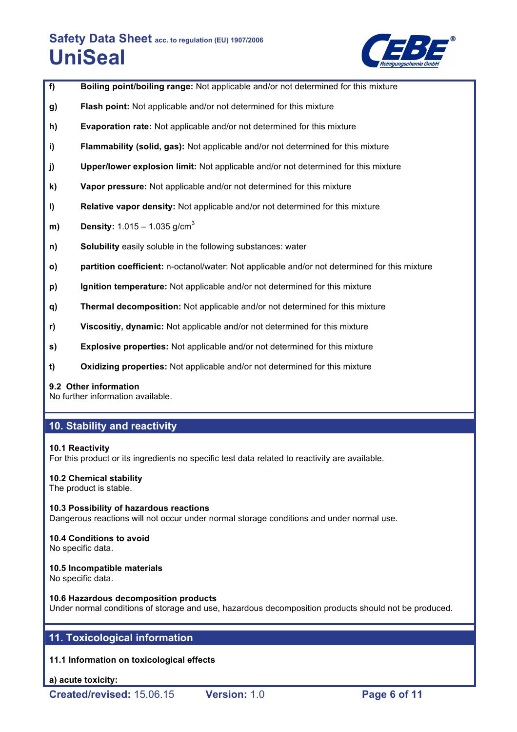

- **f) Boiling point/boiling range:** Not applicable and/or not determined for this mixture
- **g) Flash point:** Not applicable and/or not determined for this mixture
- **h) Evaporation rate:** Not applicable and/or not determined for this mixture
- **i) Flammability (solid, gas):** Not applicable and/or not determined for this mixture
- **j) Upper/lower explosion limit:** Not applicable and/or not determined for this mixture
- **k) Vapor pressure:** Not applicable and/or not determined for this mixture
- **l) Relative vapor density:** Not applicable and/or not determined for this mixture
- **m) Density:** 1.015 1.035 g/cm<sup>3</sup>
- **n) Solubility** easily soluble in the following substances: water
- **o) partition coefficient:** n-octanol/water: Not applicable and/or not determined for this mixture
- **p) Ignition temperature:** Not applicable and/or not determined for this mixture
- **q) Thermal decomposition:** Not applicable and/or not determined for this mixture
- **r) Viscositiy, dynamic:** Not applicable and/or not determined for this mixture
- **s) Explosive properties:** Not applicable and/or not determined for this mixture
- **t) Oxidizing properties:** Not applicable and/or not determined for this mixture

## **9.2 Other information**

No further information available.

# **10. Stability and reactivity**

## **10.1 Reactivity**

For this product or its ingredients no specific test data related to reactivity are available.

## **10.2 Chemical stability**

The product is stable.

**10.3 Possibility of hazardous reactions** Dangerous reactions will not occur under normal storage conditions and under normal use.

# **10.4 Conditions to avoid**

No specific data.

## **10.5 Incompatible materials**

No specific data.

**10.6 Hazardous decomposition products** Under normal conditions of storage and use, hazardous decomposition products should not be produced.

# **11. Toxicological information**

**11.1 Information on toxicological effects**

**a) acute toxicity:**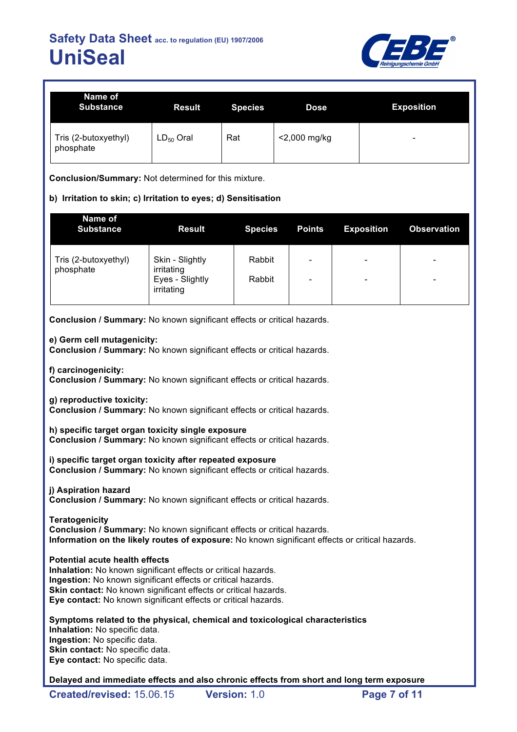

| Name of<br><b>Substance</b>       | <b>Result</b>  | <b>Species</b> | <b>Dose</b>     | <b>Exposition</b>        |
|-----------------------------------|----------------|----------------|-----------------|--------------------------|
| Tris (2-butoxyethyl)<br>phosphate | $LD_{50}$ Oral | Rat            | $<$ 2,000 mg/kg | $\overline{\phantom{0}}$ |

**Conclusion/Summary:** Not determined for this mixture.

# **b) Irritation to skin; c) Irritation to eyes; d) Sensitisation**

| Name of<br><b>Substance</b>       | <b>Result</b>                                                  | <b>Species</b>   | <b>Points</b>                     | <b>Exposition</b>             | <b>Observation</b>                                   |
|-----------------------------------|----------------------------------------------------------------|------------------|-----------------------------------|-------------------------------|------------------------------------------------------|
| Tris (2-butoxyethyl)<br>phosphate | Skin - Slightly<br>irritating<br>Eyes - Slightly<br>irritating | Rabbit<br>Rabbit | ۰<br>$\qquad \qquad \blacksquare$ | $\overline{\phantom{a}}$<br>- | $\overline{\phantom{0}}$<br>$\overline{\phantom{0}}$ |

**Conclusion / Summary:** No known significant effects or critical hazards.

#### **e) Germ cell mutagenicity:**

**Conclusion / Summary:** No known significant effects or critical hazards.

**f) carcinogenicity:**

**Conclusion / Summary:** No known significant effects or critical hazards.

**g) reproductive toxicity:**

**Conclusion / Summary:** No known significant effects or critical hazards.

**h) specific target organ toxicity single exposure Conclusion / Summary:** No known significant effects or critical hazards.

**i) specific target organ toxicity after repeated exposure Conclusion / Summary:** No known significant effects or critical hazards.

**j) Aspiration hazard Conclusion / Summary:** No known significant effects or critical hazards.

**Teratogenicity Conclusion / Summary:** No known significant effects or critical hazards. **Information on the likely routes of exposure:** No known significant effects or critical hazards.

#### **Potential acute health effects**

**Inhalation:** No known significant effects or critical hazards. **Ingestion:** No known significant effects or critical hazards. **Skin contact:** No known significant effects or critical hazards. **Eye contact:** No known significant effects or critical hazards.

**Symptoms related to the physical, chemical and toxicological characteristics Inhalation:** No specific data. **Ingestion:** No specific data. **Skin contact:** No specific data. **Eye contact:** No specific data.

**Delayed and immediate effects and also chronic effects from short and long term exposure**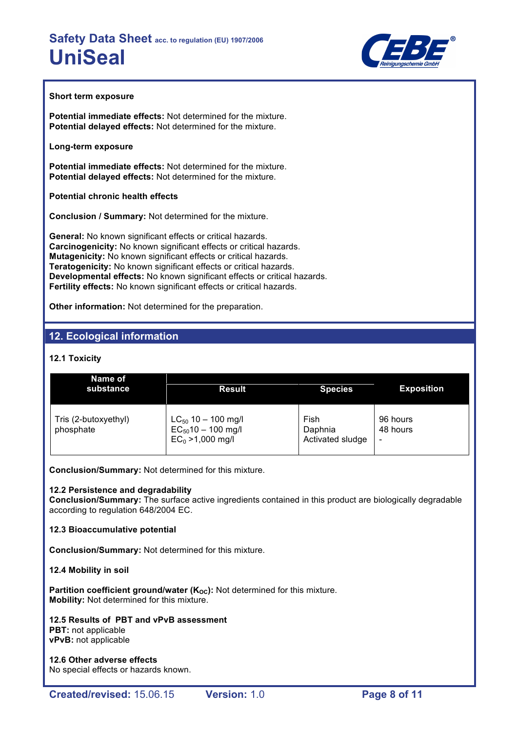

#### **Short term exposure**

**Potential immediate effects:** Not determined for the mixture. **Potential delayed effects:** Not determined for the mixture.

#### **Long-term exposure**

**Potential immediate effects:** Not determined for the mixture. **Potential delayed effects:** Not determined for the mixture.

**Potential chronic health effects**

**Conclusion / Summary:** Not determined for the mixture.

**General:** No known significant effects or critical hazards. **Carcinogenicity:** No known significant effects or critical hazards. **Mutagenicity:** No known significant effects or critical hazards. **Teratogenicity:** No known significant effects or critical hazards. **Developmental effects:** No known significant effects or critical hazards. **Fertility effects:** No known significant effects or critical hazards.

**Other information:** Not determined for the preparation.

# **12. Ecological information**

# **12.1 Toxicity**

| Name of<br>substance              | <b>Result</b>                                                             | <b>Species</b>                      | <b>Exposition</b>         |
|-----------------------------------|---------------------------------------------------------------------------|-------------------------------------|---------------------------|
| Tris (2-butoxyethyl)<br>phosphate | $LC_{50}$ 10 - 100 mg/l<br>$EC_{50}$ 10 - 100 mg/l<br>$EC_0 > 1,000$ mg/l | Fish<br>Daphnia<br>Activated sludge | 96 hours<br>48 hours<br>- |

**Conclusion/Summary:** Not determined for this mixture.

## **12.2 Persistence and degradability**

**Conclusion/Summary:** The surface active ingredients contained in this product are biologically degradable according to regulation 648/2004 EC.

## **12.3 Bioaccumulative potential**

**Conclusion/Summary:** Not determined for this mixture.

## **12.4 Mobility in soil**

**Partition coefficient ground/water (K<sub>OC</sub>):** Not determined for this mixture. **Mobility:** Not determined for this mixture.

#### **12.5 Results of PBT and vPvB assessment PBT:** not applicable **vPvB:** not applicable

**12.6 Other adverse effects** No special effects or hazards known.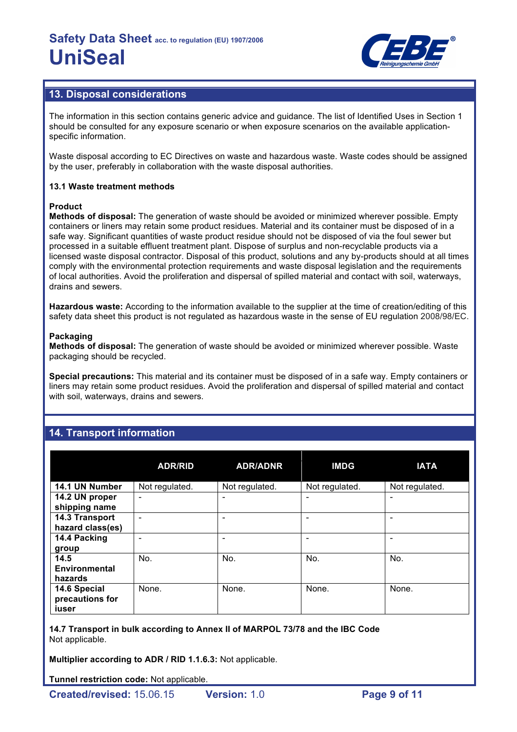

# **13. Disposal considerations**

The information in this section contains generic advice and guidance. The list of Identified Uses in Section 1 should be consulted for any exposure scenario or when exposure scenarios on the available applicationspecific information.

Waste disposal according to EC Directives on waste and hazardous waste. Waste codes should be assigned by the user, preferably in collaboration with the waste disposal authorities.

## **13.1 Waste treatment methods**

#### **Product**

**Methods of disposal:** The generation of waste should be avoided or minimized wherever possible. Empty containers or liners may retain some product residues. Material and its container must be disposed of in a safe way. Significant quantities of waste product residue should not be disposed of via the foul sewer but processed in a suitable effluent treatment plant. Dispose of surplus and non-recyclable products via a licensed waste disposal contractor. Disposal of this product, solutions and any by-products should at all times comply with the environmental protection requirements and waste disposal legislation and the requirements of local authorities. Avoid the proliferation and dispersal of spilled material and contact with soil, waterways, drains and sewers.

**Hazardous waste:** According to the information available to the supplier at the time of creation/editing of this safety data sheet this product is not regulated as hazardous waste in the sense of EU regulation 2008/98/EC.

#### **Packaging**

**Methods of disposal:** The generation of waste should be avoided or minimized wherever possible. Waste packaging should be recycled.

**Special precautions:** This material and its container must be disposed of in a safe way. Empty containers or liners may retain some product residues. Avoid the proliferation and dispersal of spilled material and contact with soil, waterways, drains and sewers.

# **14. Transport information**

|                                          | <b>ADR/RID</b>           | <b>ADR/ADNR</b> | <b>IMDG</b>    | <b>IATA</b>    |
|------------------------------------------|--------------------------|-----------------|----------------|----------------|
| 14.1 UN Number                           | Not regulated.           | Not regulated.  | Not regulated. | Not regulated. |
| 14.2 UN proper<br>shipping name          | $\overline{\phantom{0}}$ |                 | ۰              | ۰              |
| 14.3 Transport<br>hazard class(es)       |                          |                 |                |                |
| 14.4 Packing<br>group                    |                          |                 |                | -              |
| 14.5<br><b>Environmental</b><br>hazards  | No.                      | No.             | No.            | No.            |
| 14.6 Special<br>precautions for<br>iuser | None.                    | None.           | None.          | None.          |

**14.7 Transport in bulk according to Annex II of MARPOL 73/78 and the IBC Code** Not applicable.

**Multiplier according to ADR / RID 1.1.6.3:** Not applicable.

**Tunnel restriction code:** Not applicable.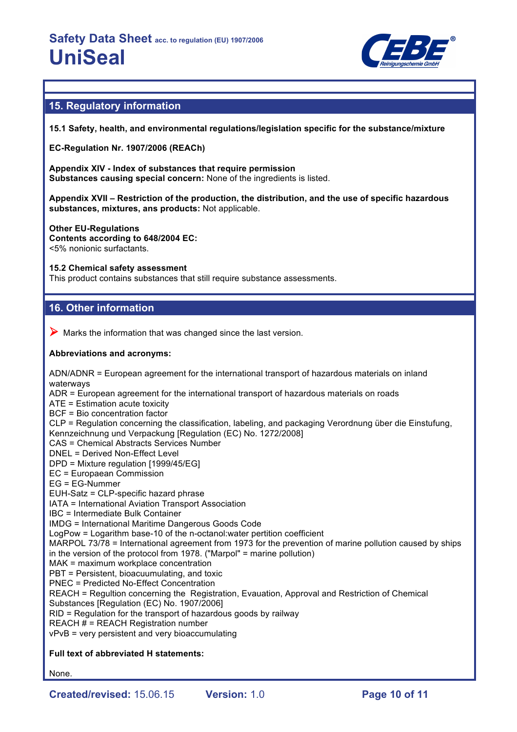

# **15. Regulatory information**

**15.1 Safety, health, and environmental regulations/legislation specific for the substance/mixture**

**EC-Regulation Nr. 1907/2006 (REACh)**

**Appendix XIV - Index of substances that require permission Substances causing special concern:** None of the ingredients is listed.

**Appendix XVII – Restriction of the production, the distribution, and the use of specific hazardous substances, mixtures, ans products:** Not applicable.

**Other EU-Regulations Contents according to 648/2004 EC:** <5% nonionic surfactants.

#### **15.2 Chemical safety assessment**

This product contains substances that still require substance assessments.

# **16. Other information**

 $\triangleright$  Marks the information that was changed since the last version.

#### **Abbreviations and acronyms:**

ADN/ADNR = European agreement for the international transport of hazardous materials on inland waterways ADR = European agreement for the international transport of hazardous materials on roads ATE = Estimation acute toxicity BCF = Bio concentration factor CLP = Regulation concerning the classification, labeling, and packaging Verordnung über die Einstufung, Kennzeichnung und Verpackung [Regulation (EC) No. 1272/2008] CAS = Chemical Abstracts Services Number DNEL = Derived Non-Effect Level DPD = Mixture regulation [1999/45/EG] EC = Europaean Commission EG = EG-Nummer EUH-Satz = CLP-specific hazard phrase IATA = International Aviation Transport Association IBC = Intermediate Bulk Container IMDG = International Maritime Dangerous Goods Code LogPow = Logarithm base-10 of the n-octanol:water pertition coefficient MARPOL 73/78 = International agreement from 1973 for the prevention of marine pollution caused by ships in the version of the protocol from 1978. ("Marpol" = marine pollution) MAK = maximum workplace concentration PBT = Persistent, bioacuumulating, and toxic PNEC = Predicted No-Effect Concentration REACH = Regultion concerning the Registration, Evauation, Approval and Restriction of Chemical Substances [Regulation (EC) No. 1907/2006] RID = Regulation for the transport of hazardous goods by railway REACH  $#$  = REACH Registration number vPvB = very persistent and very bioaccumulating

## **Full text of abbreviated H statements:**

None.